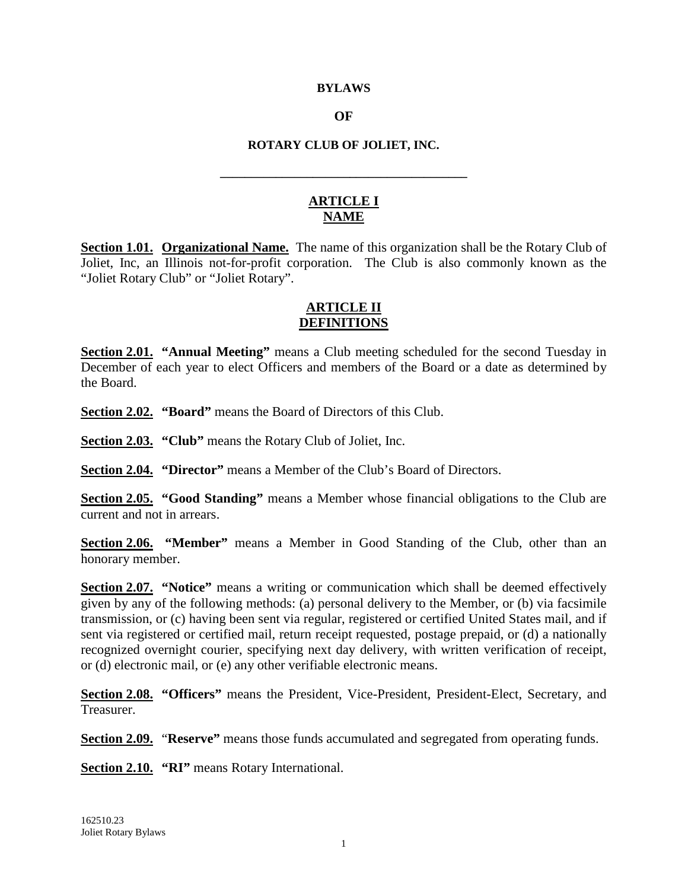#### **BYLAWS**

#### **OF**

#### **ROTARY CLUB OF JOLIET, INC.**

**\_\_\_\_\_\_\_\_\_\_\_\_\_\_\_\_\_\_\_\_\_\_\_\_\_\_\_\_\_\_\_\_\_\_\_\_\_\_\_\_**

#### **ARTICLE I NAME**

**Section 1.01. Organizational Name.** The name of this organization shall be the Rotary Club of Joliet, Inc, an Illinois not-for-profit corporation. The Club is also commonly known as the "Joliet Rotary Club" or "Joliet Rotary".

#### **ARTICLE II DEFINITIONS**

**Section 2.01. "Annual Meeting"** means a Club meeting scheduled for the second Tuesday in December of each year to elect Officers and members of the Board or a date as determined by the Board.

**Section 2.02. "Board"** means the Board of Directors of this Club.

**Section 2.03. "Club"** means the Rotary Club of Joliet, Inc.

**Section 2.04. "Director"** means a Member of the Club's Board of Directors.

**Section 2.05. "Good Standing"** means a Member whose financial obligations to the Club are current and not in arrears.

**Section 2.06. "Member"** means a Member in Good Standing of the Club, other than an honorary member.

**Section 2.07. <b>"Notice"** means a writing or communication which shall be deemed effectively given by any of the following methods: (a) personal delivery to the Member, or (b) via facsimile transmission, or (c) having been sent via regular, registered or certified United States mail, and if sent via registered or certified mail, return receipt requested, postage prepaid, or (d) a nationally recognized overnight courier, specifying next day delivery, with written verification of receipt, or (d) electronic mail, or (e) any other verifiable electronic means.

**Section 2.08. "Officers"** means the President, Vice-President, President-Elect, Secretary, and Treasurer.

**Section 2.09.** "**Reserve"** means those funds accumulated and segregated from operating funds.

**Section 2.10. "RI"** means Rotary International.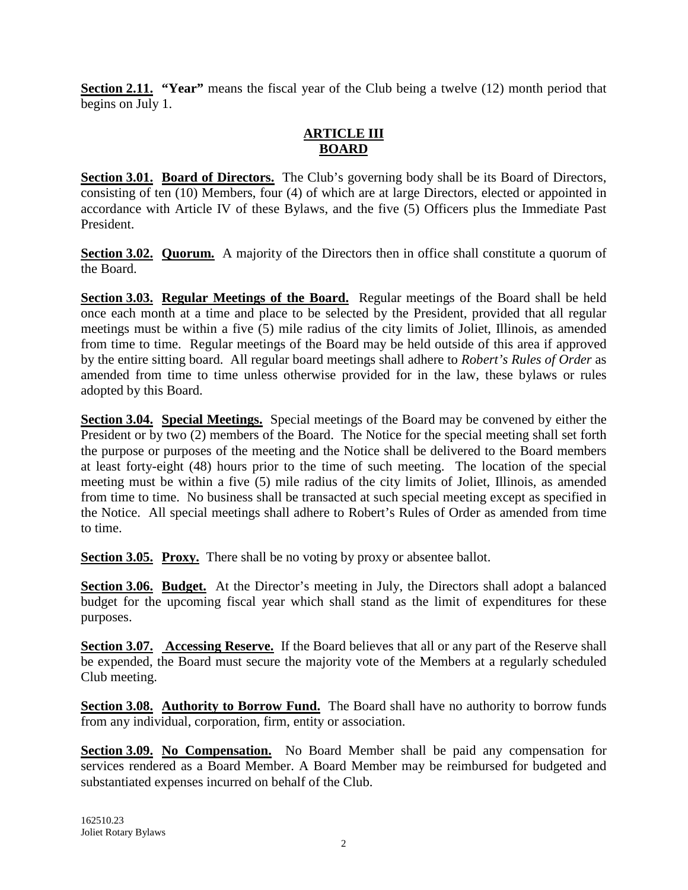**Section 2.11. "Year"** means the fiscal year of the Club being a twelve (12) month period that begins on July 1.

# **ARTICLE III BOARD**

Section 3.01. Board of Directors. The Club's governing body shall be its Board of Directors, consisting of ten (10) Members, four (4) of which are at large Directors, elected or appointed in accordance with Article IV of these Bylaws, and the five (5) Officers plus the Immediate Past President.

**Section 3.02. Quorum.** A majority of the Directors then in office shall constitute a quorum of the Board.

Section 3.03. Regular Meetings of the Board. Regular meetings of the Board shall be held once each month at a time and place to be selected by the President, provided that all regular meetings must be within a five (5) mile radius of the city limits of Joliet, Illinois, as amended from time to time. Regular meetings of the Board may be held outside of this area if approved by the entire sitting board. All regular board meetings shall adhere to *Robert's Rules of Order* as amended from time to time unless otherwise provided for in the law, these bylaws or rules adopted by this Board.

**Section 3.04.** Special Meetings. Special meetings of the Board may be convened by either the President or by two (2) members of the Board. The Notice for the special meeting shall set forth the purpose or purposes of the meeting and the Notice shall be delivered to the Board members at least forty-eight (48) hours prior to the time of such meeting. The location of the special meeting must be within a five (5) mile radius of the city limits of Joliet, Illinois, as amended from time to time. No business shall be transacted at such special meeting except as specified in the Notice. All special meetings shall adhere to Robert's Rules of Order as amended from time to time.

Section 3.05. Proxy. There shall be no voting by proxy or absentee ballot.

Section 3.06. Budget. At the Director's meeting in July, the Directors shall adopt a balanced budget for the upcoming fiscal year which shall stand as the limit of expenditures for these purposes.

**Section 3.07.** Accessing Reserve. If the Board believes that all or any part of the Reserve shall be expended, the Board must secure the majority vote of the Members at a regularly scheduled Club meeting.

Section 3.08. Authority to Borrow Fund. The Board shall have no authority to borrow funds from any individual, corporation, firm, entity or association.

Section 3.09. No Compensation. No Board Member shall be paid any compensation for services rendered as a Board Member. A Board Member may be reimbursed for budgeted and substantiated expenses incurred on behalf of the Club.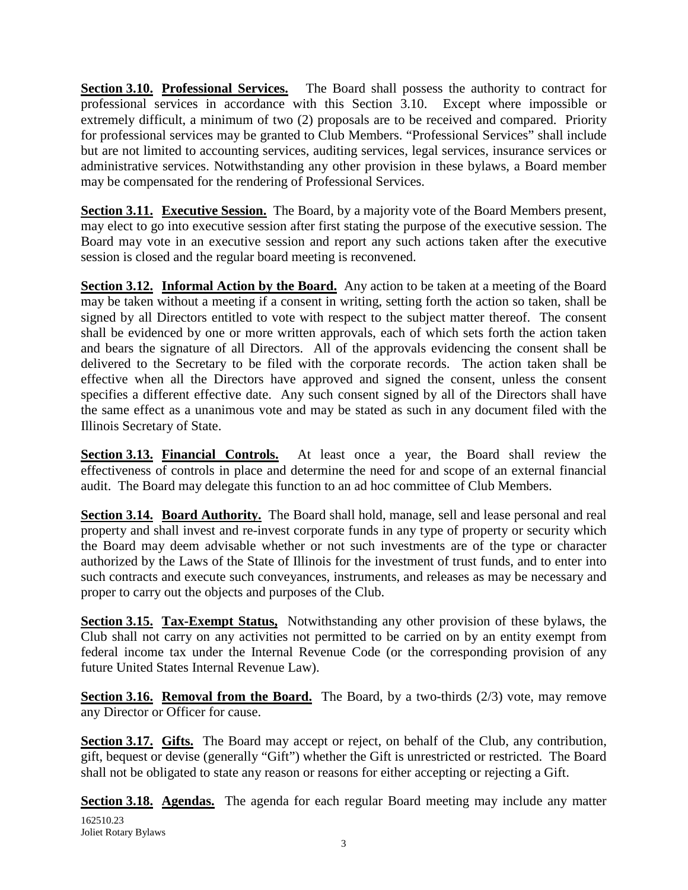**Section 3.10. Professional Services.** The Board shall possess the authority to contract for professional services in accordance with this Section 3.10. Except where impossible or extremely difficult, a minimum of two (2) proposals are to be received and compared. Priority for professional services may be granted to Club Members. "Professional Services" shall include but are not limited to accounting services, auditing services, legal services, insurance services or administrative services. Notwithstanding any other provision in these bylaws, a Board member may be compensated for the rendering of Professional Services.

Section 3.11. Executive Session. The Board, by a majority vote of the Board Members present, may elect to go into executive session after first stating the purpose of the executive session. The Board may vote in an executive session and report any such actions taken after the executive session is closed and the regular board meeting is reconvened.

Section 3.12. Informal Action by the Board. Any action to be taken at a meeting of the Board may be taken without a meeting if a consent in writing, setting forth the action so taken, shall be signed by all Directors entitled to vote with respect to the subject matter thereof. The consent shall be evidenced by one or more written approvals, each of which sets forth the action taken and bears the signature of all Directors. All of the approvals evidencing the consent shall be delivered to the Secretary to be filed with the corporate records. The action taken shall be effective when all the Directors have approved and signed the consent, unless the consent specifies a different effective date. Any such consent signed by all of the Directors shall have the same effect as a unanimous vote and may be stated as such in any document filed with the Illinois Secretary of State.

**Section 3.13. Financial Controls.** At least once a year, the Board shall review the effectiveness of controls in place and determine the need for and scope of an external financial audit. The Board may delegate this function to an ad hoc committee of Club Members.

Section 3.14. Board Authority. The Board shall hold, manage, sell and lease personal and real property and shall invest and re-invest corporate funds in any type of property or security which the Board may deem advisable whether or not such investments are of the type or character authorized by the Laws of the State of Illinois for the investment of trust funds, and to enter into such contracts and execute such conveyances, instruments, and releases as may be necessary and proper to carry out the objects and purposes of the Club.

**Section 3.15.** Tax-Exempt Status, Notwithstanding any other provision of these bylaws, the Club shall not carry on any activities not permitted to be carried on by an entity exempt from federal income tax under the Internal Revenue Code (or the corresponding provision of any future United States Internal Revenue Law).

**Section 3.16. Removal from the Board.** The Board, by a two-thirds (2/3) vote, may remove any Director or Officer for cause.

Section 3.17. Gifts. The Board may accept or reject, on behalf of the Club, any contribution, gift, bequest or devise (generally "Gift") whether the Gift is unrestricted or restricted. The Board shall not be obligated to state any reason or reasons for either accepting or rejecting a Gift.

162510.23 Joliet Rotary Bylaws Section 3.18. Agendas. The agenda for each regular Board meeting may include any matter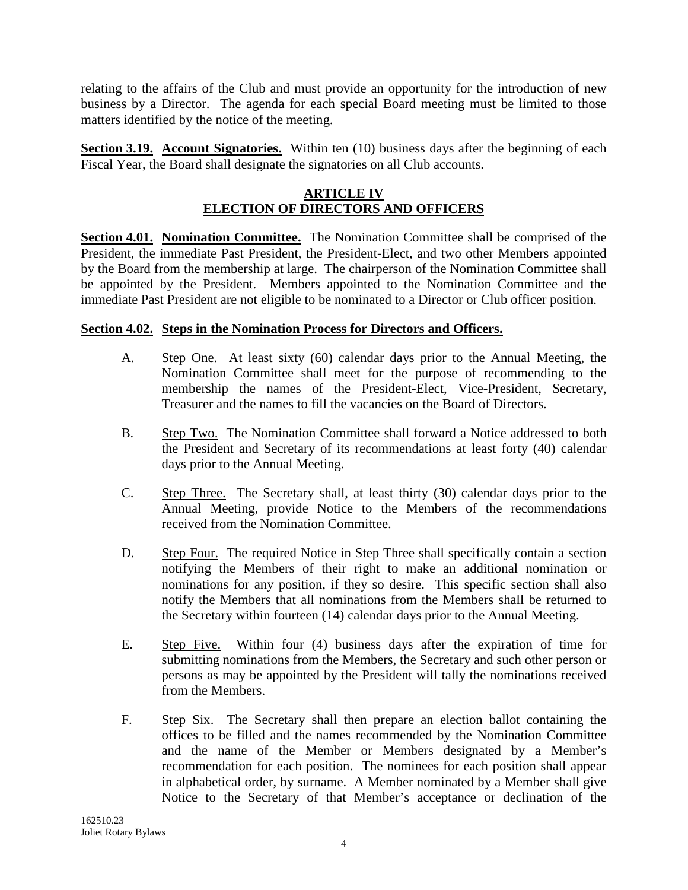relating to the affairs of the Club and must provide an opportunity for the introduction of new business by a Director. The agenda for each special Board meeting must be limited to those matters identified by the notice of the meeting.

Section 3.19. Account Signatories. Within ten (10) business days after the beginning of each Fiscal Year, the Board shall designate the signatories on all Club accounts.

## **ARTICLE IV ELECTION OF DIRECTORS AND OFFICERS**

**Section 4.01.** Nomination Committee. The Nomination Committee shall be comprised of the President, the immediate Past President, the President-Elect, and two other Members appointed by the Board from the membership at large. The chairperson of the Nomination Committee shall be appointed by the President. Members appointed to the Nomination Committee and the immediate Past President are not eligible to be nominated to a Director or Club officer position.

## **Section 4.02. Steps in the Nomination Process for Directors and Officers.**

- A. Step One. At least sixty (60) calendar days prior to the Annual Meeting, the Nomination Committee shall meet for the purpose of recommending to the membership the names of the President-Elect, Vice-President, Secretary, Treasurer and the names to fill the vacancies on the Board of Directors.
- B. Step Two. The Nomination Committee shall forward a Notice addressed to both the President and Secretary of its recommendations at least forty (40) calendar days prior to the Annual Meeting.
- C. Step Three. The Secretary shall, at least thirty (30) calendar days prior to the Annual Meeting, provide Notice to the Members of the recommendations received from the Nomination Committee.
- D. Step Four. The required Notice in Step Three shall specifically contain a section notifying the Members of their right to make an additional nomination or nominations for any position, if they so desire. This specific section shall also notify the Members that all nominations from the Members shall be returned to the Secretary within fourteen (14) calendar days prior to the Annual Meeting.
- E. Step Five. Within four (4) business days after the expiration of time for submitting nominations from the Members, the Secretary and such other person or persons as may be appointed by the President will tally the nominations received from the Members.
- F. Step Six. The Secretary shall then prepare an election ballot containing the offices to be filled and the names recommended by the Nomination Committee and the name of the Member or Members designated by a Member's recommendation for each position. The nominees for each position shall appear in alphabetical order, by surname. A Member nominated by a Member shall give Notice to the Secretary of that Member's acceptance or declination of the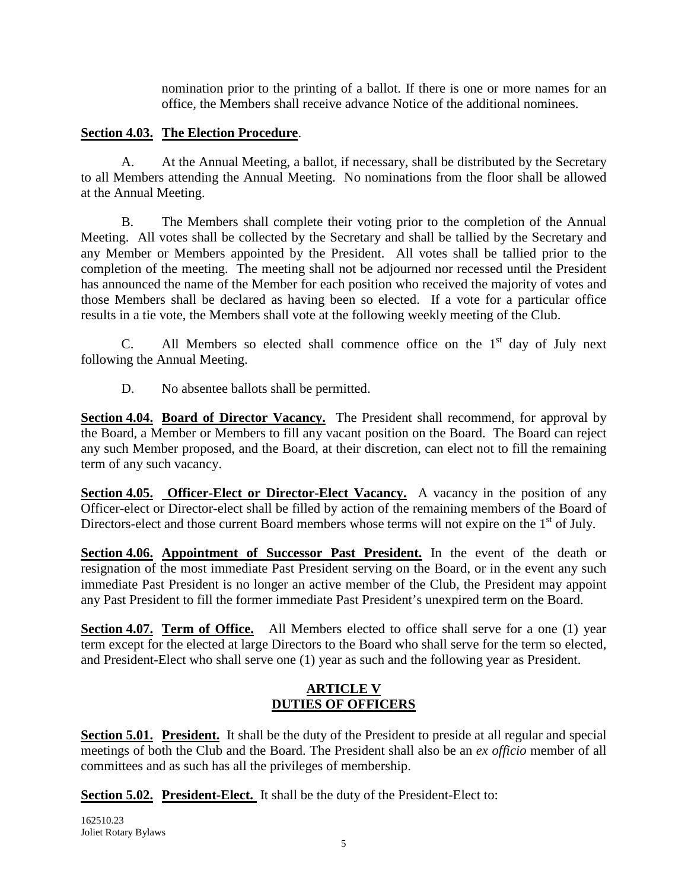nomination prior to the printing of a ballot. If there is one or more names for an office, the Members shall receive advance Notice of the additional nominees.

### **Section 4.03. The Election Procedure** .

A. At the Annual Meeting, a ballot, if necessary, shall be distributed by the Secretary to all Members attending the Annual Meeting. No nominations from the floor shall be allowed at the Annual Meeting.

B. The Members shall complete their voting prior to the completion of the Annual Meeting. All votes shall be collected by the Secretary and shall be tallied by the Secretary and any Member or Members appointed by the President. All votes shall be tallied prior to the completion of the meeting. The meeting shall not be adjourned nor recessed until the President has announced the name of the Member for each position who received the majority of votes and those Members shall be declared as having been so elected. If a vote for a particular office results in a tie vote, the Members shall vote at the following weekly meeting of the Club.

C. All Members so elected shall commence office on the  $1<sup>st</sup>$  day of July next following the Annual Meeting.

D. No absentee ballots shall be permitted.

Section 4.04. Board of Director Vacancy. The President shall recommend, for approval by the Board, a Member or Members to fill any vacant position on the Board. The Board can reject any such Member proposed, and the Board, at their discretion, can elect not to fill the remaining term of any such vacancy.

**Section 4.05. Officer-Elect or Director-Elect Vacancy.** A vacancy in the position of any Officer-elect or Director-elect shall be filled by action of the remaining members of the Board of Directors-elect and those current Board members whose terms will not expire on the 1<sup>st</sup> of July.

Section 4.06. Appointment of Successor Past President. In the event of the death or resignation of the most immediate Past President serving on the Board, or in the event any such immediate Past President is no longer an active member of the Club, the President may appoint any Past President to fill the former immediate Past President's unexpired term on the Board.

**Section 4.07.** Term of Office. All Members elected to office shall serve for a one (1) year term except for the elected at large Directors to the Board who shall serve for the term so elected, and President-Elect who shall serve one (1) year as such and the following year as President.

## **ARTICLE V DUTIES OF OFFICERS**

Section 5.01. President. It shall be the duty of the President to preside at all regular and special meetings of both the Club and the Board. The President shall also be an *ex officio* member of all committees and as such has all the privileges of membership.

Section 5.02. President-Elect. It shall be the duty of the President-Elect to:

162510.23 Joliet Rotary Bylaws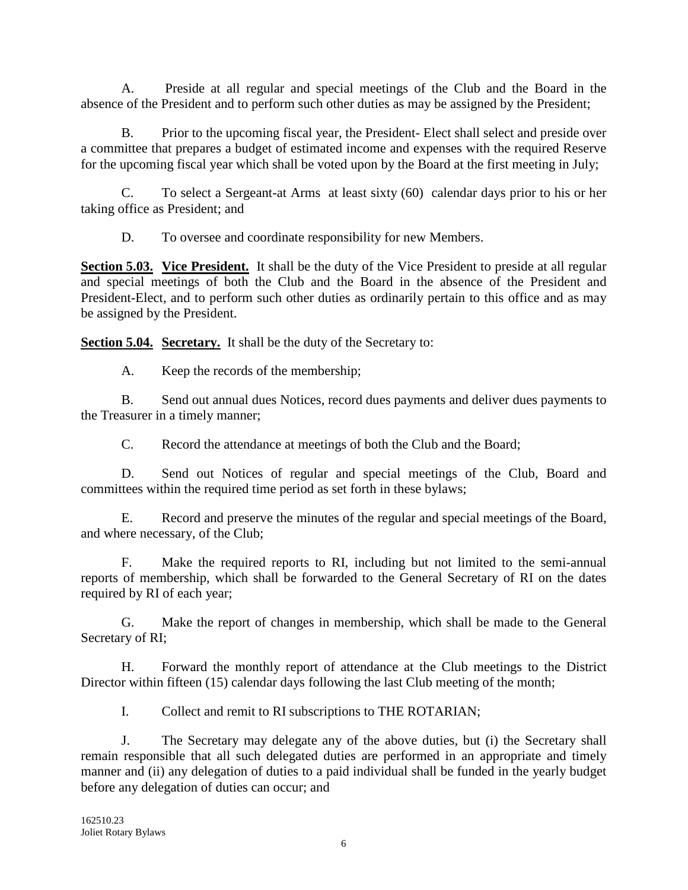A. Preside at all regular and special meetings of the Club and the Board in the absence of the President and to perform such other duties as may be assigned by the President;

B. Prior to the upcoming fiscal year, the President- Elect shall select and preside over a committee that prepares a budget of estimated income and expenses with the required Reserve for the upcoming fiscal year which shall be voted upon by the Board at the first meeting in July;

C. To select a Sergeant-at Arms at least sixty (60) calendar days prior to his or her taking office as President; and

D. To oversee and coordinate responsibility for new Members.

Section 5.03. Vice President. It shall be the duty of the Vice President to preside at all regular and special meetings of both the Club and the Board in the absence of the President and President-Elect, and to perform such other duties as ordinarily pertain to this office and as may be assigned by the President.

Section 5.04. Secretary. It shall be the duty of the Secretary to:

A. Keep the records of the membership;

B. Send out annual dues Notices, record dues payments and deliver dues payments to the Treasurer in a timely manner;

C. Record the attendance at meetings of both the Club and the Board;

D. Send out Notices of regular and special meetings of the Club, Board and committees within the required time period as set forth in these bylaws;

E. Record and preserve the minutes of the regular and special meetings of the Board, and where necessary, of the Club;

F. Make the required reports to RI, including but not limited to the semi-annual reports of membership, which shall be forwarded to the General Secretary of RI on the dates required by RI of each year;

G. Make the report of changes in membership, which shall be made to the General Secretary of RI;

H. Forward the monthly report of attendance at the Club meetings to the District Director within fifteen (15) calendar days following the last Club meeting of the month;

I. Collect and remit to RI subscriptions to THE ROTARIAN;

J. The Secretary may delegate any of the above duties, but (i) the Secretary shall remain responsible that all such delegated duties are performed in an appropriate and timely manner and (ii) any delegation of duties to a paid individual shall be funded in the yearly budget before any delegation of duties can occur; and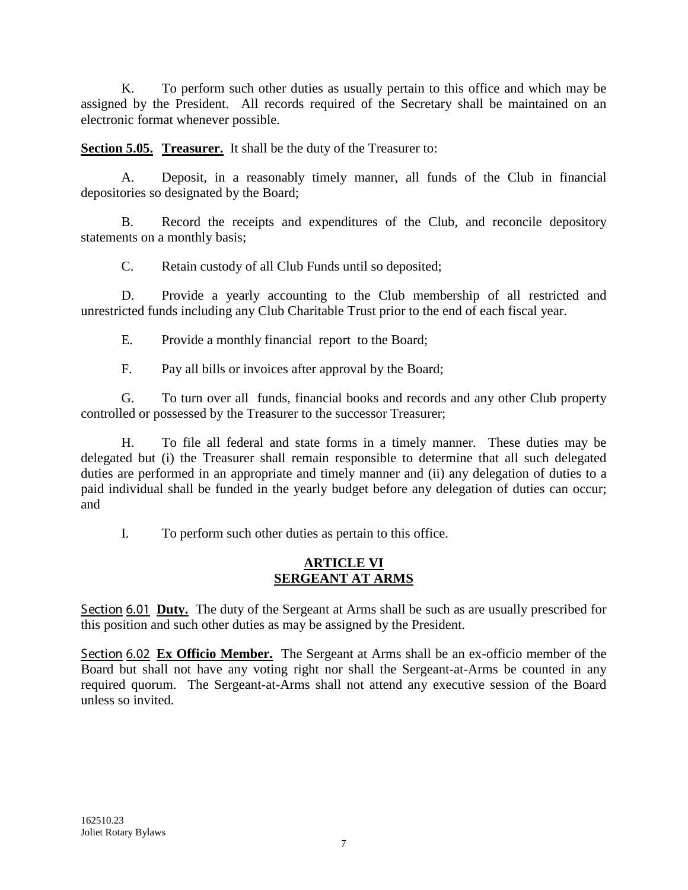K. To perform such other duties as usually pertain to this office and which may be assigned by the President. All records required of the Secretary shall be maintained on an electronic format whenever possible.

**Section 5.05. Treasurer.** It shall be the duty of the Treasurer to:

A. Deposit, in a reasonably timely manner, all funds of the Club in financial depositories so designated by the Board;

B. Record the receipts and expenditures of the Club, and reconcile depository statements on a monthly basis;

C. Retain custody of all Club Funds until so deposited;

D. Provide a yearly accounting to the Club membership of all restricted and unrestricted funds including any Club Charitable Trust prior to the end of each fiscal year.

E. Provide a monthly financial report to the Board;

F. Pay all bills or invoices after approval by the Board;

G. To turn over all funds, financial books and records and any other Club property controlled or possessed by the Treasurer to the successor Treasurer;

H. To file all federal and state forms in a timely manner. These duties may be delegated but (i) the Treasurer shall remain responsible to determine that all such delegated duties are performed in an appropriate and timely manner and (ii) any delegation of duties to a paid individual shall be funded in the yearly budget before any delegation of duties can occur; and

I. To perform such other duties as pertain to this office.

## **ARTICLE VI SERGEANT AT ARMS**

Section 6.01 Duty. The duty of the Sergeant at Arms shall be such as are usually prescribed for this position and such other duties as may be assigned by the President.

Section 6.02 Ex Officio Member. The Sergeant at Arms shall be an ex-officio member of the Board but shall not have any voting right nor shall the Sergeant-at-Arms be counted in any required quorum. The Sergeant-at-Arms shall not attend any executive session of the Board unless so invited.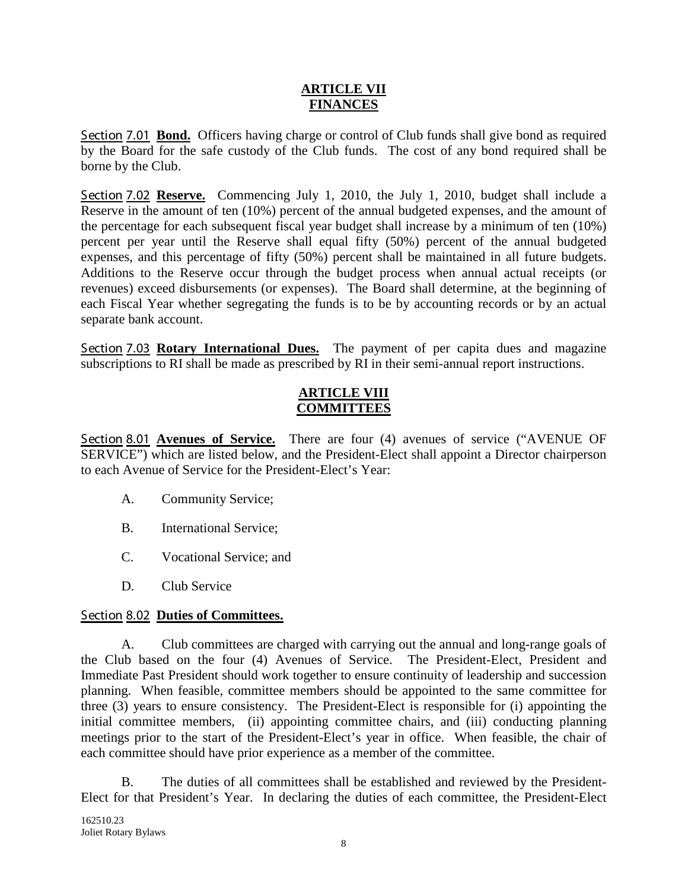#### **ARTICLE VII FINANCES**

Section 7.01 Bond. Officers having charge or control of Club funds shall give bond as required by the Board for the safe custody of the Club funds. The cost of any bond required shall be borne by the Club.

Section 7.02 Reserve. Commencing July 1, 2010, the July 1, 2010, budget shall include a Reserve in the amount of ten (10%) percent of the annual budgeted expenses, and the amount of the percentage for each subsequent fiscal year budget shall increase by a minimum of ten (10%) percent per year until the Reserve shall equal fifty (50%) percent of the annual budgeted expenses, and this percentage of fifty (50%) percent shall be maintained in all future budgets. Additions to the Reserve occur through the budget process when annual actual receipts (or revenues) exceed disbursements (or expenses). The Board shall determine, at the beginning of each Fiscal Year whether segregating the funds is to be by accounting records or by an actual separate bank account.

Section 7.03 Rotary International Dues. The payment of per capita dues and magazine subscriptions to RI shall be made as prescribed by RI in their semi-annual report instructions.

#### **ARTICLE VIII COMMITTEES**

Section 8.01 **Avenues of Service.** There are four (4) avenues of service ("AVENUE OF SERVICE") which are listed below, and the President-Elect shall appoint a Director chairperson to each Avenue of Service for the President-Elect's Year:

- A. Community Service;
- B. International Service;
- C. Vocational Service; and
- D. Club Service

### Section 8.02 **Duties of Committees.**

A. Club committees are charged with carrying out the annual and long-range goals of the Club based on the four (4) Avenues of Service. The President-Elect, President and Immediate Past President should work together to ensure continuity of leadership and succession planning. When feasible, committee members should be appointed to the same committee for three (3) years to ensure consistency. The President-Elect is responsible for (i) appointing the initial committee members, (ii) appointing committee chairs, and (iii) conducting planning meetings prior to the start of the President-Elect's year in office. When feasible, the chair of each committee should have prior experience as a member of the committee.

B. The duties of all committees shall be established and reviewed by the President-Elect for that President's Year. In declaring the duties of each committee, the President-Elect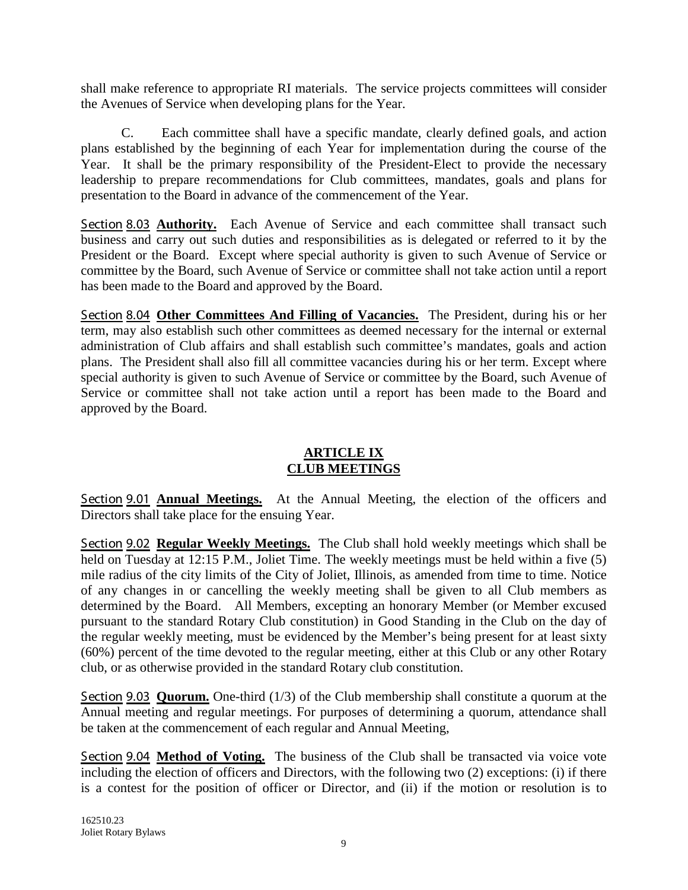shall make reference to appropriate RI materials. The service projects committees will consider the Avenues of Service when developing plans for the Year.

C. Each committee shall have a specific mandate, clearly defined goals, and action plans established by the beginning of each Year for implementation during the course of the Year. It shall be the primary responsibility of the President-Elect to provide the necessary leadership to prepare recommendations for Club committees, mandates, goals and plans for presentation to the Board in advance of the commencement of the Year.

Section 8.03 **Authority.** Each Avenue of Service and each committee shall transact such business and carry out such duties and responsibilities as is delegated or referred to it by the President or the Board. Except where special authority is given to such Avenue of Service or committee by the Board, such Avenue of Service or committee shall not take action until a report has been made to the Board and approved by the Board.

Section 8.04 **Other Committees And Filling of Vacancies.** The President, during his or her term, may also establish such other committees as deemed necessary for the internal or external administration of Club affairs and shall establish such committee's mandates, goals and action plans. The President shall also fill all committee vacancies during his or her term. Except where special authority is given to such Avenue of Service or committee by the Board, such Avenue of Service or committee shall not take action until a report has been made to the Board and approved by the Board.

## **ARTICLE IX CLUB MEETINGS**

Section 9.01 **Annual Meetings.** At the Annual Meeting, the election of the officers and Directors shall take place for the ensuing Year.

Section 9.02 Regular Weekly Meetings. The Club shall hold weekly meetings which shall be held on Tuesday at 12:15 P.M., Joliet Time. The weekly meetings must be held within a five (5) mile radius of the city limits of the City of Joliet, Illinois, as amended from time to time. Notice of any changes in or cancelling the weekly meeting shall be given to all Club members as determined by the Board. All Members, excepting an honorary Member (or Member excused pursuant to the standard Rotary Club constitution) in Good Standing in the Club on the day of the regular weekly meeting, must be evidenced by the Member's being present for at least sixty (60%) percent of the time devoted to the regular meeting, either at this Club or any other Rotary club, or as otherwise provided in the standard Rotary club constitution.

Section 9.03 **Quorum.** One-third (1/3) of the Club membership shall constitute a quorum at the Annual meeting and regular meetings. For purposes of determining a quorum, attendance shall be taken at the commencement of each regular and Annual Meeting,

Section 9.04 Method of Voting. The business of the Club shall be transacted via voice vote including the election of officers and Directors, with the following two (2) exceptions: (i) if there is a contest for the position of officer or Director, and (ii) if the motion or resolution is to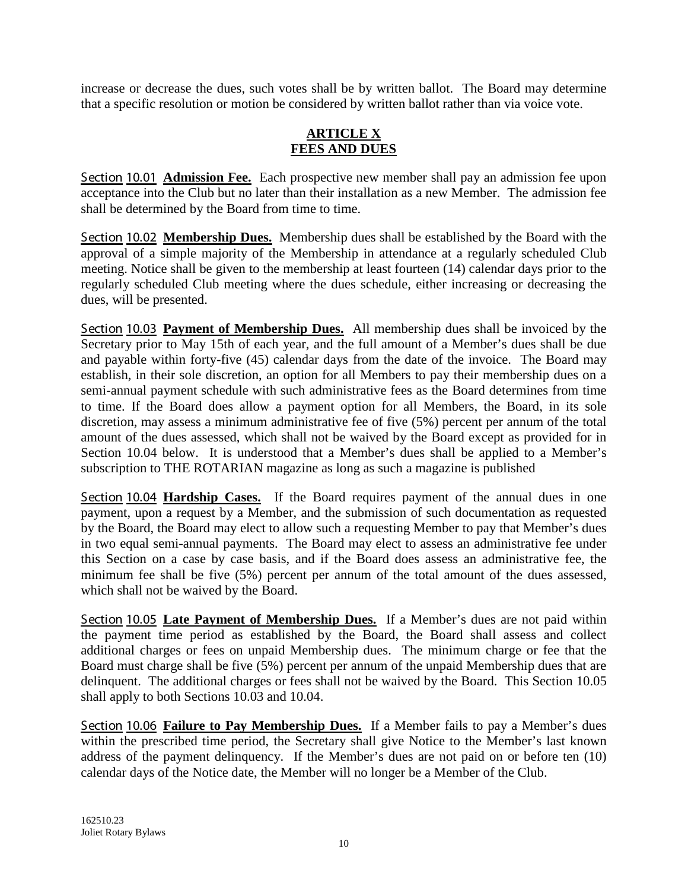increase or decrease the dues, such votes shall be by written ballot. The Board may determine that a specific resolution or motion be considered by written ballot rather than via voice vote.

### **ARTICLE X FEES AND DUES**

Section 10.01 **Admission Fee.** Each prospective new member shall pay an admission fee upon acceptance into the Club but no later than their installation as a new Member. The admission fee shall be determined by the Board from time to time.

Section 10.02 Membership Dues. Membership dues shall be established by the Board with the approval of a simple majority of the Membership in attendance at a regularly scheduled Club meeting. Notice shall be given to the membership at least fourteen (14) calendar days prior to the regularly scheduled Club meeting where the dues schedule, either increasing or decreasing the dues, will be presented.

Section 10.03 Payment of Membership Dues. All membership dues shall be invoiced by the Secretary prior to May 15th of each year, and the full amount of a Member's dues shall be due and payable within forty-five (45) calendar days from the date of the invoice. The Board may establish, in their sole discretion, an option for all Members to pay their membership dues on a semi-annual payment schedule with such administrative fees as the Board determines from time to time. If the Board does allow a payment option for all Members, the Board, in its sole discretion, may assess a minimum administrative fee of five (5%) percent per annum of the total amount of the dues assessed, which shall not be waived by the Board except as provided for in Section 10.04 below. It is understood that a Member's dues shall be applied to a Member's subscription to THE ROTARIAN magazine as long as such a magazine is published

Section 10.04 **Hardship Cases.** If the Board requires payment of the annual dues in one payment, upon a request by a Member, and the submission of such documentation as requested by the Board, the Board may elect to allow such a requesting Member to pay that Member's dues in two equal semi-annual payments. The Board may elect to assess an administrative fee under this Section on a case by case basis, and if the Board does assess an administrative fee, the minimum fee shall be five (5%) percent per annum of the total amount of the dues assessed, which shall not be waived by the Board.

Section 10.05 Late Payment of Membership Dues. If a Member's dues are not paid within the payment time period as established by the Board, the Board shall assess and collect additional charges or fees on unpaid Membership dues. The minimum charge or fee that the Board must charge shall be five (5%) percent per annum of the unpaid Membership dues that are delinquent. The additional charges or fees shall not be waived by the Board. This Section 10.05 shall apply to both Sections 10.03 and 10.04.

Section 10.06 Failure to Pay Membership Dues. If a Member fails to pay a Member's dues within the prescribed time period, the Secretary shall give Notice to the Member's last known address of the payment delinquency. If the Member's dues are not paid on or before ten (10) calendar days of the Notice date, the Member will no longer be a Member of the Club.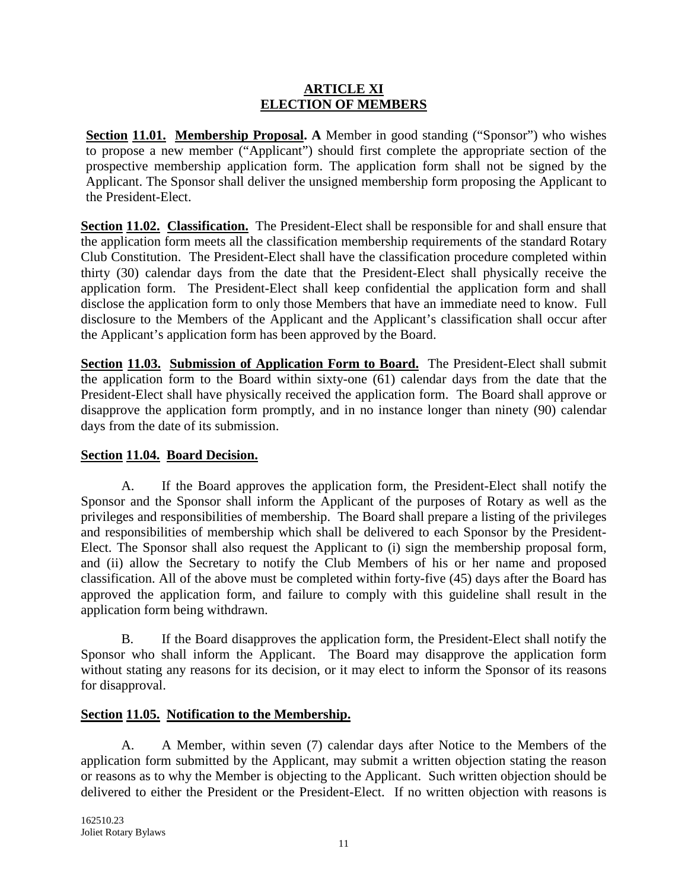#### **ARTICLE XI ELECTION OF MEMBERS**

**Section 11.01. Membership Proposal. A** Member in good standing ("Sponsor") who wishes to propose a new member ("Applicant") should first complete the appropriate section of the prospective membership application form. The application form shall not be signed by the Applicant. The Sponsor shall deliver the unsigned membership form proposing the Applicant to the President-Elect.

**Section 11.02. Classification.** The President-Elect shall be responsible for and shall ensure that the application form meets all the classification membership requirements of the standard Rotary Club Constitution. The President-Elect shall have the classification procedure completed within thirty (30) calendar days from the date that the President-Elect shall physically receive the application form. The President-Elect shall keep confidential the application form and shall disclose the application form to only those Members that have an immediate need to know. Full disclosure to the Members of the Applicant and the Applicant's classification shall occur after the Applicant's application form has been approved by the Board.

**Section 11.03. Submission of Application Form to Board.** The President-Elect shall submit the application form to the Board within sixty-one (61) calendar days from the date that the President-Elect shall have physically received the application form. The Board shall approve or disapprove the application form promptly, and in no instance longer than ninety (90) calendar days from the date of its submission.

# **Section 11.04. Board Decision.**

A. If the Board approves the application form, the President-Elect shall notify the Sponsor and the Sponsor shall inform the Applicant of the purposes of Rotary as well as the privileges and responsibilities of membership. The Board shall prepare a listing of the privileges and responsibilities of membership which shall be delivered to each Sponsor by the President-Elect. The Sponsor shall also request the Applicant to (i) sign the membership proposal form, and (ii) allow the Secretary to notify the Club Members of his or her name and proposed classification. All of the above must be completed within forty-five (45) days after the Board has approved the application form, and failure to comply with this guideline shall result in the application form being withdrawn.

B. If the Board disapproves the application form, the President-Elect shall notify the Sponsor who shall inform the Applicant. The Board may disapprove the application form without stating any reasons for its decision, or it may elect to inform the Sponsor of its reasons for disapproval.

### **Section 11.05. Notification to the Membership.**

A. A Member, within seven (7) calendar days after Notice to the Members of the application form submitted by the Applicant, may submit a written objection stating the reason or reasons as to why the Member is objecting to the Applicant. Such written objection should be delivered to either the President or the President-Elect. If no written objection with reasons is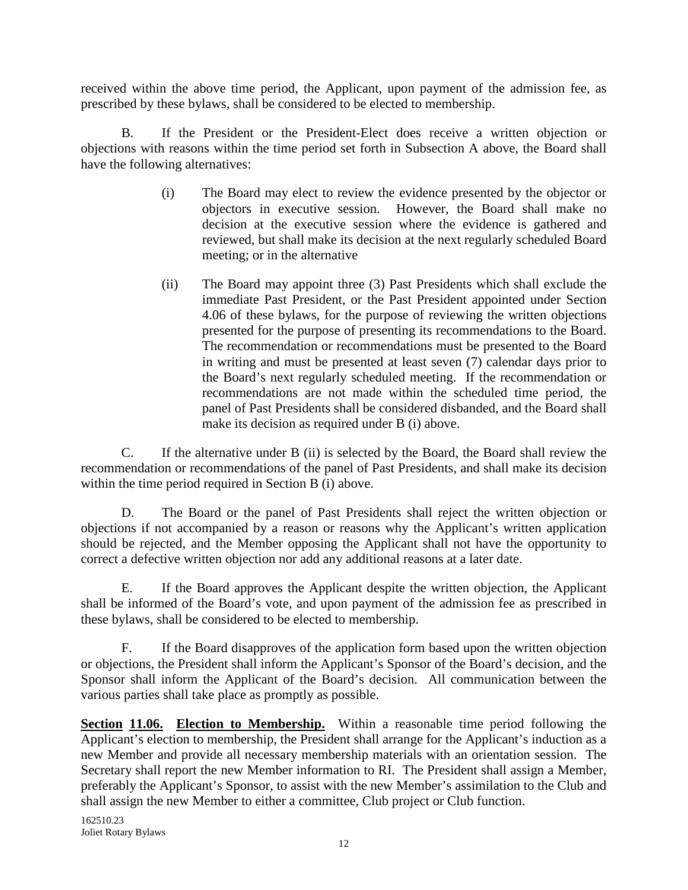received within the above time period, the Applicant, upon payment of the admission fee, as prescribed by these bylaws, shall be considered to be elected to membership.

B. If the President or the President-Elect does receive a written objection or objections with reasons within the time period set forth in Subsection A above, the Board shall have the following alternatives:

- (i) The Board may elect to review the evidence presented by the objector or objectors in executive session. However, the Board shall make no decision at the executive session where the evidence is gathered and reviewed, but shall make its decision at the next regularly scheduled Board meeting; or in the alternative
- (ii) The Board may appoint three (3) Past Presidents which shall exclude the immediate Past President, or the Past President appointed under Section 4.06 of these bylaws, for the purpose of reviewing the written objections presented for the purpose of presenting its recommendations to the Board. The recommendation or recommendations must be presented to the Board in writing and must be presented at least seven (7) calendar days prior to the Board's next regularly scheduled meeting. If the recommendation or recommendations are not made within the scheduled time period, the panel of Past Presidents shall be considered disbanded, and the Board shall make its decision as required under B (i) above.

C. If the alternative under B (ii) is selected by the Board, the Board shall review the recommendation or recommendations of the panel of Past Presidents, and shall make its decision within the time period required in Section B (i) above.

D. The Board or the panel of Past Presidents shall reject the written objection or objections if not accompanied by a reason or reasons why the Applicant's written application should be rejected, and the Member opposing the Applicant shall not have the opportunity to correct a defective written objection nor add any additional reasons at a later date.

E. If the Board approves the Applicant despite the written objection, the Applicant shall be informed of the Board's vote, and upon payment of the admission fee as prescribed in these bylaws, shall be considered to be elected to membership.

F. If the Board disapproves of the application form based upon the written objection or objections, the President shall inform the Applicant's Sponsor of the Board's decision, and the Sponsor shall inform the Applicant of the Board's decision. All communication between the various parties shall take place as promptly as possible.

**Section 11.06. Election to Membership.** Within a reasonable time period following the Applicant's election to membership, the President shall arrange for the Applicant's induction as a new Member and provide all necessary membership materials with an orientation session. The Secretary shall report the new Member information to RI. The President shall assign a Member, preferably the Applicant's Sponsor, to assist with the new Member's assimilation to the Club and shall assign the new Member to either a committee, Club project or Club function.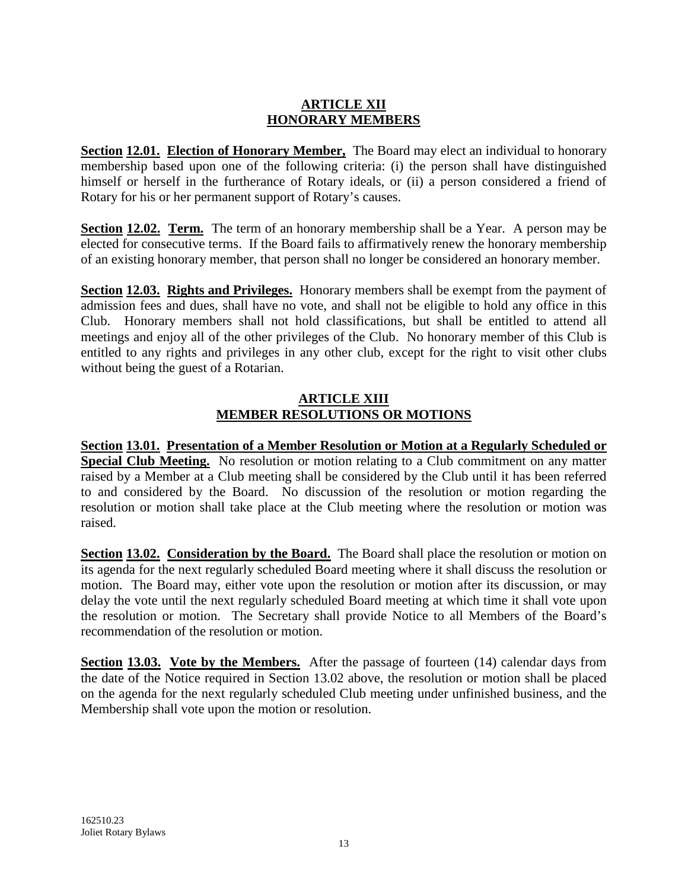### **ARTICLE XII HONORARY MEMBERS**

**Section 12.01. Election of Honorary Member,** The Board may elect an individual to honorary membership based upon one of the following criteria: (i) the person shall have distinguished himself or herself in the furtherance of Rotary ideals, or (ii) a person considered a friend of Rotary for his or her permanent support of Rotary's causes.

**Section 12.02. Term.** The term of an honorary membership shall be a Year. A person may be elected for consecutive terms. If the Board fails to affirmatively renew the honorary membership of an existing honorary member, that person shall no longer be considered an honorary member.

**Section 12.03. Rights and Privileges.** Honorary members shall be exempt from the payment of admission fees and dues, shall have no vote, and shall not be eligible to hold any office in this Club. Honorary members shall not hold classifications, but shall be entitled to attend all meetings and enjoy all of the other privileges of the Club. No honorary member of this Club is entitled to any rights and privileges in any other club, except for the right to visit other clubs without being the guest of a Rotarian.

## **ARTICLE XIII MEMBER RESOLUTIONS OR MOTIONS**

**Section 13.01. Presentation of a Member Resolution or Motion at a Regularly Scheduled or Special Club Meeting.** No resolution or motion relating to a Club commitment on any matter raised by a Member at a Club meeting shall be considered by the Club until it has been referred to and considered by the Board. No discussion of the resolution or motion regarding the resolution or motion shall take place at the Club meeting where the resolution or motion was raised.

**Section 13.02. Consideration by the Board.** The Board shall place the resolution or motion on its agenda for the next regularly scheduled Board meeting where it shall discuss the resolution or motion. The Board may, either vote upon the resolution or motion after its discussion, or may delay the vote until the next regularly scheduled Board meeting at which time it shall vote upon the resolution or motion. The Secretary shall provide Notice to all Members of the Board's recommendation of the resolution or motion.

**Section 13.03. Vote by the Members.** After the passage of fourteen (14) calendar days from the date of the Notice required in Section 13.02 above, the resolution or motion shall be placed on the agenda for the next regularly scheduled Club meeting under unfinished business, and the Membership shall vote upon the motion or resolution.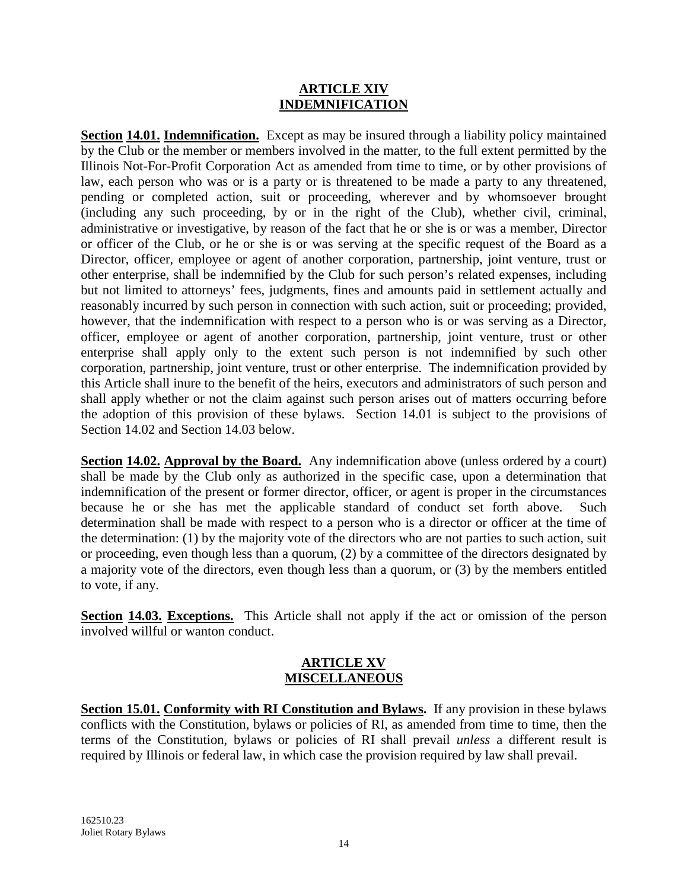#### **ARTICLE XIV INDEMNIFICATION**

**Section 14.01. Indemnification.** Except as may be insured through a liability policy maintained by the Club or the member or members involved in the matter, to the full extent permitted by the Illinois Not-For-Profit Corporation Act as amended from time to time, or by other provisions of law, each person who was or is a party or is threatened to be made a party to any threatened, pending or completed action, suit or proceeding, wherever and by whomsoever brought (including any such proceeding, by or in the right of the Club), whether civil, criminal, administrative or investigative, by reason of the fact that he or she is or was a member, Director or officer of the Club, or he or she is or was serving at the specific request of the Board as a Director, officer, employee or agent of another corporation, partnership, joint venture, trust or other enterprise, shall be indemnified by the Club for such person's related expenses, including but not limited to attorneys' fees, judgments, fines and amounts paid in settlement actually and reasonably incurred by such person in connection with such action, suit or proceeding; provided, however, that the indemnification with respect to a person who is or was serving as a Director, officer, employee or agent of another corporation, partnership, joint venture, trust or other enterprise shall apply only to the extent such person is not indemnified by such other corporation, partnership, joint venture, trust or other enterprise. The indemnification provided by this Article shall inure to the benefit of the heirs, executors and administrators of such person and shall apply whether or not the claim against such person arises out of matters occurring before the adoption of this provision of these bylaws. Section 14.01 is subject to the provisions of Section 14.02 and Section 14.03 below.

**Section 14.02. Approval by the Board.** Any indemnification above (unless ordered by a court) shall be made by the Club only as authorized in the specific case, upon a determination that indemnification of the present or former director, officer, or agent is proper in the circumstances because he or she has met the applicable standard of conduct set forth above. Such determination shall be made with respect to a person who is a director or officer at the time of the determination: (1) by the majority vote of the directors who are not parties to such action, suit or proceeding, even though less than a quorum, (2) by a committee of the directors designated by a majority vote of the directors, even though less than a quorum, or (3) by the members entitled to vote, if any.

**Section 14.03. Exceptions.** This Article shall not apply if the act or omission of the person involved willful or wanton conduct.

#### **ARTICLE XV MISCELLANEOUS**

**Section 15.01. Conformity with RI Constitution and Bylaws.** If any provision in these bylaws conflicts with the Constitution, bylaws or policies of RI, as amended from time to time, then the terms of the Constitution, bylaws or policies of RI shall prevail *unless* a different result is required by Illinois or federal law, in which case the provision required by law shall prevail.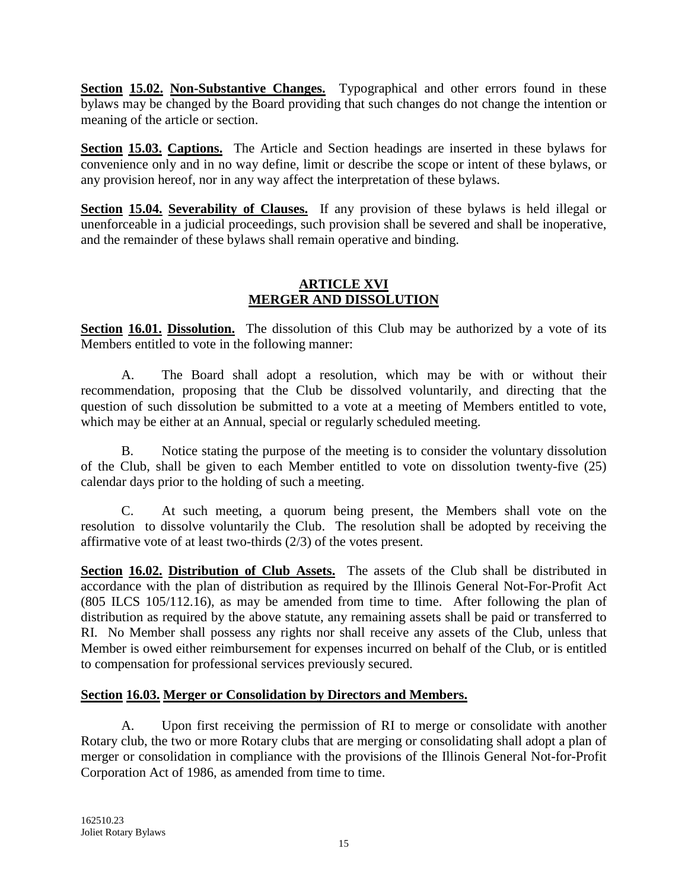**Section 15.02. Non-Substantive Changes.** Typographical and other errors found in these bylaws may be changed by the Board providing that such changes do not change the intention or meaning of the article or section.

**Section 15.03. Captions.** The Article and Section headings are inserted in these bylaws for convenience only and in no way define, limit or describe the scope or intent of these bylaws, or any provision hereof, nor in any way affect the interpretation of these bylaws.

**Section 15.04. Severability of Clauses.** If any provision of these bylaws is held illegal or unenforceable in a judicial proceedings, such provision shall be severed and shall be inoperative, and the remainder of these bylaws shall remain operative and binding.

### **ARTICLE XVI MERGER AND DISSOLUTION**

**Section 16.01. Dissolution.** The dissolution of this Club may be authorized by a vote of its Members entitled to vote in the following manner:

A. The Board shall adopt a resolution, which may be with or without their recommendation, proposing that the Club be dissolved voluntarily, and directing that the question of such dissolution be submitted to a vote at a meeting of Members entitled to vote, which may be either at an Annual, special or regularly scheduled meeting.

B. Notice stating the purpose of the meeting is to consider the voluntary dissolution of the Club, shall be given to each Member entitled to vote on dissolution twenty-five (25) calendar days prior to the holding of such a meeting.

C. At such meeting, a quorum being present, the Members shall vote on the resolution to dissolve voluntarily the Club. The resolution shall be adopted by receiving the affirmative vote of at least two-thirds (2/3) of the votes present.

**Section 16.02. Distribution of Club Assets.** The assets of the Club shall be distributed in accordance with the plan of distribution as required by the Illinois General Not-For-Profit Act (805 ILCS 105/112.16), as may be amended from time to time. After following the plan of distribution as required by the above statute, any remaining assets shall be paid or transferred to RI. No Member shall possess any rights nor shall receive any assets of the Club, unless that Member is owed either reimbursement for expenses incurred on behalf of the Club, or is entitled to compensation for professional services previously secured.

# **Section 16.03. Merger or Consolidation by Directors and Members.**

A. Upon first receiving the permission of RI to merge or consolidate with another Rotary club, the two or more Rotary clubs that are merging or consolidating shall adopt a plan of merger or consolidation in compliance with the provisions of the Illinois General Not-for-Profit Corporation Act of 1986, as amended from time to time.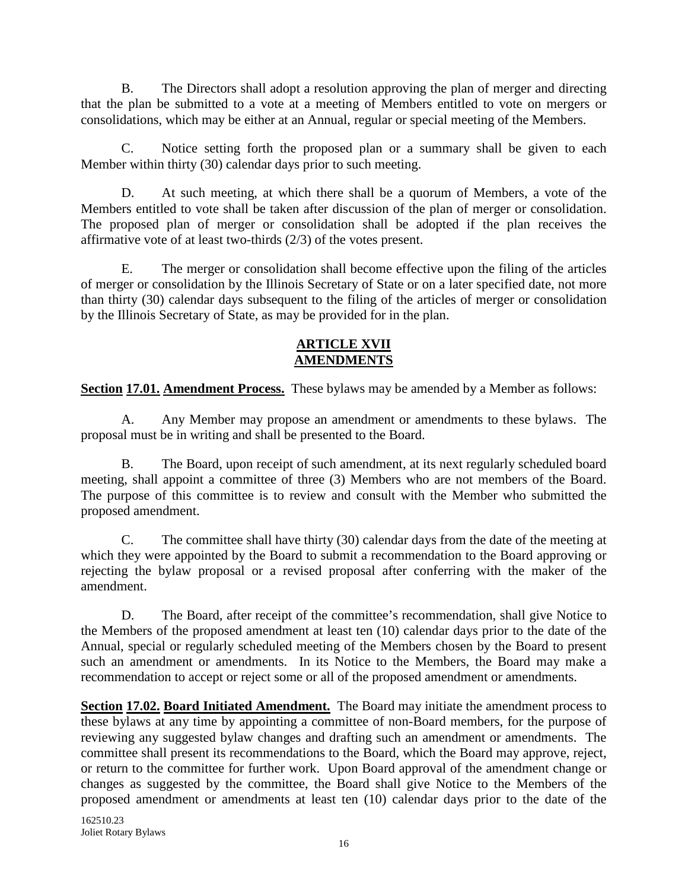B. The Directors shall adopt a resolution approving the plan of merger and directing that the plan be submitted to a vote at a meeting of Members entitled to vote on mergers or consolidations, which may be either at an Annual, regular or special meeting of the Members.

C. Notice setting forth the proposed plan or a summary shall be given to each Member within thirty (30) calendar days prior to such meeting.

D. At such meeting, at which there shall be a quorum of Members, a vote of the Members entitled to vote shall be taken after discussion of the plan of merger or consolidation. The proposed plan of merger or consolidation shall be adopted if the plan receives the affirmative vote of at least two-thirds (2/3) of the votes present.

E. The merger or consolidation shall become effective upon the filing of the articles of merger or consolidation by the Illinois Secretary of State or on a later specified date, not more than thirty (30) calendar days subsequent to the filing of the articles of merger or consolidation by the Illinois Secretary of State, as may be provided for in the plan.

### **ARTICLE XVII AMENDMENTS**

**Section 17.01. Amendment Process.** These bylaws may be amended by a Member as follows:

A. Any Member may propose an amendment or amendments to these bylaws. The proposal must be in writing and shall be presented to the Board.

B. The Board, upon receipt of such amendment, at its next regularly scheduled board meeting, shall appoint a committee of three (3) Members who are not members of the Board. The purpose of this committee is to review and consult with the Member who submitted the proposed amendment.

C. The committee shall have thirty (30) calendar days from the date of the meeting at which they were appointed by the Board to submit a recommendation to the Board approving or rejecting the bylaw proposal or a revised proposal after conferring with the maker of the amendment.

D. The Board, after receipt of the committee's recommendation, shall give Notice to the Members of the proposed amendment at least ten (10) calendar days prior to the date of the Annual, special or regularly scheduled meeting of the Members chosen by the Board to present such an amendment or amendments. In its Notice to the Members, the Board may make a recommendation to accept or reject some or all of the proposed amendment or amendments.

**Section 17.02. Board Initiated Amendment.** The Board may initiate the amendment process to these bylaws at any time by appointing a committee of non-Board members, for the purpose of reviewing any suggested bylaw changes and drafting such an amendment or amendments. The committee shall present its recommendations to the Board, which the Board may approve, reject, or return to the committee for further work. Upon Board approval of the amendment change or changes as suggested by the committee, the Board shall give Notice to the Members of the proposed amendment or amendments at least ten (10) calendar days prior to the date of the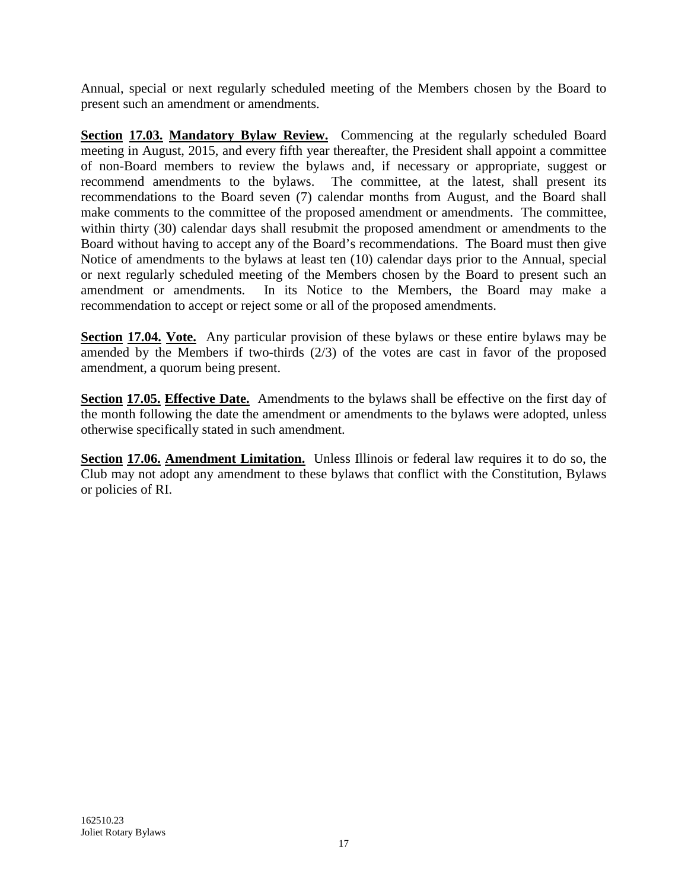Annual, special or next regularly scheduled meeting of the Members chosen by the Board to present such an amendment or amendments.

**Section 17.03. Mandatory Bylaw Review.** Commencing at the regularly scheduled Board meeting in August, 2015, and every fifth year thereafter, the President shall appoint a committee of non-Board members to review the bylaws and, if necessary or appropriate, suggest or recommend amendments to the bylaws. The committee, at the latest, shall present its recommendations to the Board seven (7) calendar months from August, and the Board shall make comments to the committee of the proposed amendment or amendments. The committee, within thirty (30) calendar days shall resubmit the proposed amendment or amendments to the Board without having to accept any of the Board's recommendations. The Board must then give Notice of amendments to the bylaws at least ten (10) calendar days prior to the Annual, special or next regularly scheduled meeting of the Members chosen by the Board to present such an amendment or amendments. In its Notice to the Members, the Board may make a recommendation to accept or reject some or all of the proposed amendments.

**Section 17.04. Vote.** Any particular provision of these bylaws or these entire bylaws may be amended by the Members if two-thirds (2/3) of the votes are cast in favor of the proposed amendment, a quorum being present.

**Section 17.05. Effective Date.** Amendments to the bylaws shall be effective on the first day of the month following the date the amendment or amendments to the bylaws were adopted, unless otherwise specifically stated in such amendment.

**Section 17.06. Amendment Limitation.** Unless Illinois or federal law requires it to do so, the Club may not adopt any amendment to these bylaws that conflict with the Constitution, Bylaws or policies of RI.